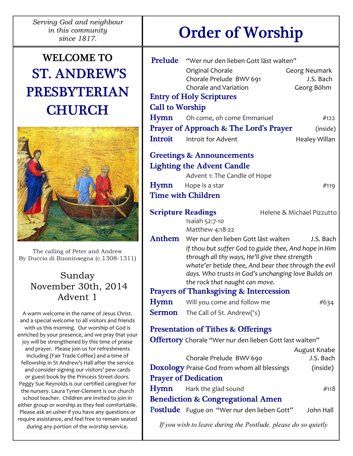Serving God and neighbour in this community

# WELCOME TO ST. ANDREW'S PRESBYTERIAN **CHURCH**



The calling of Peter and Andrew By Duccio di Buoninsegna (c.1308-1311)

# Sunday November 30th, 2014 Advent 1

A warm welcome in the name of Jesus Christ. and a special welcome to all visitors and friends with us this morning. Our worship of God is enriched by your presence, and we pray that your joy will be strengthened by this time of praise and prayer. Please join us for refreshments including (Fair Trade Coffee) and a time of fellowship in St Andrew's Hall after the service and consider signing our visitors' pew cards or guest book by the Princess Street doors. Peggy Sue Reynolds is our certified caregiver for the nursery. Laura Tyner-Clement is our church school teacher. Children are invited to join in either group or worship as they feel comfortable. Please ask an usher if you have any questions or require assistance, and feel free to remain seated during any portion of the worship service.

# since 1817. Order of Worship

|                                                        | Prelude "Wer nur den lieben Gott läst walten"<br>Original Chorale<br>Chorale Prelude BWV 691                                                                                                                                                             | Georg Neumark<br>J.S. Bach |  |
|--------------------------------------------------------|----------------------------------------------------------------------------------------------------------------------------------------------------------------------------------------------------------------------------------------------------------|----------------------------|--|
|                                                        | <b>Chorale and Variation</b>                                                                                                                                                                                                                             | Georg Böhm                 |  |
| <b>Entry of Holy Scriptures</b>                        |                                                                                                                                                                                                                                                          |                            |  |
| <b>Call to Worship</b>                                 |                                                                                                                                                                                                                                                          |                            |  |
| Hymn                                                   | Oh come, oh come Emmanuel                                                                                                                                                                                                                                | #122                       |  |
|                                                        | <b>Prayer of Approach &amp; The Lord's Prayer</b>                                                                                                                                                                                                        | (inside)                   |  |
| <b>Introit</b>                                         | Introit for Advent                                                                                                                                                                                                                                       | Healey Willan              |  |
| <b>Greetings &amp; Announcements</b>                   |                                                                                                                                                                                                                                                          |                            |  |
| <b>Lighting the Advent Candle</b>                      |                                                                                                                                                                                                                                                          |                            |  |
|                                                        | Advent 1: The Candle of Hope                                                                                                                                                                                                                             |                            |  |
| Hymn                                                   | Hope is a star                                                                                                                                                                                                                                           | #119                       |  |
| <b>Time with Children</b>                              |                                                                                                                                                                                                                                                          |                            |  |
| <b>Scripture Readings</b><br>Helene & Michael Pizzutto |                                                                                                                                                                                                                                                          |                            |  |
|                                                        | Isaiah 52:7-10<br>Matthew 4:18-22                                                                                                                                                                                                                        |                            |  |
|                                                        | Anthem Wer nur den lieben Gott läst walten                                                                                                                                                                                                               | J.S. Bach                  |  |
|                                                        | If thou but suffer God to guide thee, And hope in Him<br>through all thy ways, He'll give thee strength<br>whate'er betide thee, And bear thee through the evil<br>days. Who trusts in God's unchanging love Builds on<br>the rock that naught can move. |                            |  |
| <b>Prayers of Thanksgiving &amp; Intercession</b>      |                                                                                                                                                                                                                                                          |                            |  |
| Hymn                                                   | Will you come and follow me                                                                                                                                                                                                                              | #634                       |  |
| Sermon                                                 | The Call of St. Andrew('s)                                                                                                                                                                                                                               |                            |  |
|                                                        | <b>Presentation of Tithes &amp; Offerings</b>                                                                                                                                                                                                            |                            |  |
|                                                        | Offertory Chorale "Wer nur den lieben Gott last walten"                                                                                                                                                                                                  |                            |  |
|                                                        |                                                                                                                                                                                                                                                          | August Knabe               |  |
|                                                        | Chorale Prelude BWV 690                                                                                                                                                                                                                                  | J.S. Bach                  |  |
|                                                        | <b>Doxology</b> Praise God from whom all blessings                                                                                                                                                                                                       | (inside)                   |  |
| <b>Prayer of Dedication</b>                            |                                                                                                                                                                                                                                                          |                            |  |
| Hymn                                                   | Hark the glad sound                                                                                                                                                                                                                                      | #118                       |  |
| <b>Benediction &amp; Congregational Amen</b>           |                                                                                                                                                                                                                                                          |                            |  |
|                                                        | <b>Postlude</b> Fugue on "Wer nur den lieben Gott"                                                                                                                                                                                                       | John Hall                  |  |
|                                                        |                                                                                                                                                                                                                                                          |                            |  |

If you wish to leave during the Postlude, please do so quietly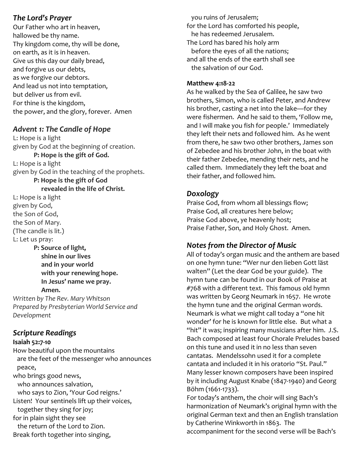## The Lord's Prayer

Our Father who art in heaven, hallowed be thy name. Thy kingdom come, thy will be done, on earth, as it is in heaven. Give us this day our daily bread, and forgive us our debts, as we forgive our debtors. And lead us not into temptation, but deliver us from evil. For thine is the kingdom, the power, and the glory, forever. Amen

## Advent 1: The Candle of Hope

L: Hope is a light given by God at the beginning of creation. P: Hope is the gift of God. L: Hope is a light given by God in the teaching of the prophets.

 P: Hope is the gift of God revealed in the life of Christ.

L: Hope is a light given by God, the Son of God, the Son of Mary. (The candle is lit.) L: Let us pray:

 P: Source of light, shine in our lives and in your world with your renewing hope. In Jesus' name we pray. Amen.

Written by The Rev. Mary Whitson Prepared by Presbyterian World Service and Development

# Scripture Readings

#### Isaiah 52:7-10

How beautiful upon the mountains are the feet of the messenger who announces peace, who brings good news, who announces salvation, who says to Zion, 'Your God reigns.' Listen! Your sentinels lift up their voices, together they sing for joy; for in plain sight they see the return of the Lord to Zion. Break forth together into singing,

 you ruins of Jerusalem; for the Lord has comforted his people, he has redeemed Jerusalem. The Lord has bared his holy arm before the eyes of all the nations; and all the ends of the earth shall see the salvation of our God.

#### Matthew 4:18-22

As he walked by the Sea of Galilee, he saw two brothers, Simon, who is called Peter, and Andrew his brother, casting a net into the lake—for they were fishermen. And he said to them, 'Follow me, and I will make you fish for people.' Immediately they left their nets and followed him. As he went from there, he saw two other brothers, James son of Zebedee and his brother John, in the boat with their father Zebedee, mending their nets, and he called them. Immediately they left the boat and their father, and followed him.

## Doxology

Praise God, from whom all blessings flow; Praise God, all creatures here below; Praise God above, ye heavenly host; Praise Father, Son, and Holy Ghost. Amen.

# Notes from the Director of Music

All of today's organ music and the anthem are based on one hymn tune: "Wer nur den lieben Gott läst walten" (Let the dear God be your guide). The hymn tune can be found in our Book of Praise at #768 with a different text. This famous old hymn was written by Georg Neumark in 1657. He wrote the hymn tune and the original German words. Neumark is what we might call today a "one hit wonder' for he is known for little else. But what a "hit" it was; inspiring many musicians after him. J.S. Bach composed at least four Chorale Preludes based on this tune and used it in no less than seven cantatas. Mendelssohn used it for a complete cantata and included it in his oratorio "St. Paul." Many lesser known composers have been inspired by it including August Knabe (1847-1940) and Georg Böhm (1661-1733).

For today's anthem, the choir will sing Bach's harmonization of Neumark's original hymn with the original German text and then an English translation by Catherine Winkworth in 1863. The accompaniment for the second verse will be Bach's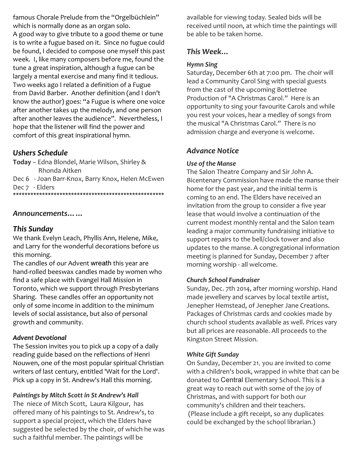famous Chorale Prelude from the "Orgelbüchlein" which is normally done as an organ solo. A good way to give tribute to a good theme or tune is to write a fugue based on it. Since no fugue could be found, I decided to compose one myself this past week. I, like many composers before me, found the tune a great inspiration, although a fugue can be largely a mental exercise and many find it tedious. Two weeks ago I related a definition of a Fugue from David Barber. Another definition (and I don't know the author) goes: "a Fugue is where one voice after another takes up the melody, and one person after another leaves the audience". Nevertheless, I hope that the listener will find the power and comfort of this great inspirational hymn.

# Ushers Schedule

Today – Edna Blondel, Marie Wilson, Shirley & Rhonda Aitken

Dec 6 - Joan Barr-Knox, Barry Knox, Helen McEwen Dec 7 - Elders \*\*\*\*\*\*\*\*\*\*\*\*\*\*\*\*\*\*\*\*\*\*\*\*\*\*\*\*\*\*\*\*\*\*\*\*\*\*\*\*\*\*\*\*\*\*\*\*\*\*\*\*

#### Announcements……

#### This Sunday

We thank Evelyn Leach, Phyllis Ann, Helene, Mike, and Larry for the wonderful decorations before us this morning.

The candles of our Advent wreath this year are hand-rolled beeswax candles made by women who find a safe place with Evangel Hall Mission in Toronto, which we support through Presbyterians Sharing. These candles offer an opportunity not only of some income in addition to the minimum levels of social assistance, but also of personal growth and community.

#### Advent Devotional

The Session invites you to pick up a copy of a daily reading guide based on the reflections of Henri Nouwen, one of the most popular spiritual Christian writers of last century, entitled 'Wait for the Lord'. Pick up a copy in St. Andrew's Hall this morning.

Paintings by Mitch Scott in St Andrew's Hall

The niece of Mitch Scott, Laura Kilgour, has offered many of his paintings to St. Andrew's, to support a special project, which the Elders have suggested be selected by the choir, of which he was such a faithful member. The paintings will be

available for viewing today. Sealed bids will be received until noon, at which time the paintings will be able to be taken home.

## This Week…

#### Hymn Sing

Saturday, December 6th at 7:00 pm. The choir will lead a Community Carol Sing with special guests from the cast of the upcoming Bottletree Production of "A Christmas Carol." Here is an opportunity to sing your favourite Carols and while you rest your voices, hear a medley of songs from the musical "A Christmas Carol." There is no admission charge and everyone is welcome.

## Advance Notice

#### Use of the Manse

The Salon Theatre Company and Sir John A. Bicentenary Commission have made the manse their home for the past year, and the initial term is coming to an end. The Elders have received an invitation from the group to consider a five year lease that would involve a continuation of the current modest monthly rental and the Salon team leading a major community fundraising initiative to support repairs to the bell/clock tower and also updates to the manse. A congregational information meeting is planned for Sunday, December 7 after morning worship - all welcome.

#### Church School Fundraiser

Sunday, Dec. 7th 2014, after morning worship. Hand made jewellery and scarves by local textile artist, Jenepher Hemstead, of Jenepher Jane Creations. Packages of Christmas cards and cookies made by church school students available as well. Prices vary but all prices are reasonable. All proceeds to the Kingston Street Mission.

#### White Gift Sunday

On Sunday, December 21, you are invited to come with a children's book, wrapped in white that can be donated to Central Elementary School. This is a great way to reach out with some of the joy of Christmas, and with support for both our community's children and their teachers. (Please include a gift receipt, so any duplicates could be exchanged by the school librarian.)